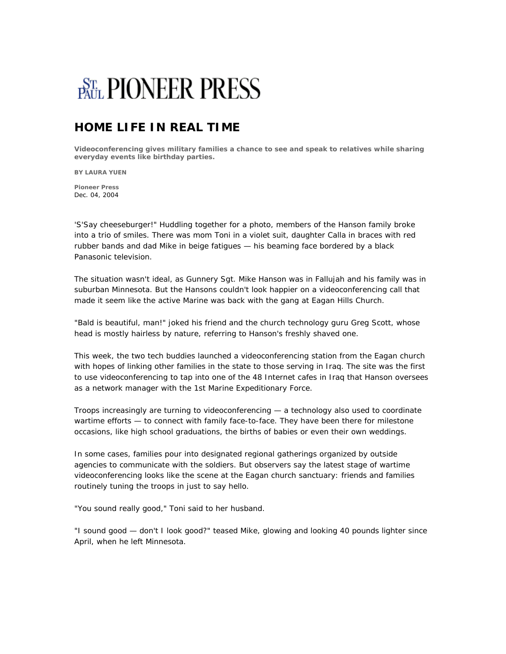## **BTh PIONEER PRESS**

## **HOME LIFE IN REAL TIME**

**Videoconferencing gives military families a chance to see and speak to relatives while sharing everyday events like birthday parties.**

**BY LAURA YUEN**

**Pioneer Press** Dec. 04, 2004

'S'Say cheeseburger!" Huddling together for a photo, members of the Hanson family broke into a trio of smiles. There was mom Toni in a violet suit, daughter Calla in braces with red rubber bands and dad Mike in beige fatigues — his beaming face bordered by a black Panasonic television.

The situation wasn't ideal, as Gunnery Sgt. Mike Hanson was in Fallujah and his family was in suburban Minnesota. But the Hansons couldn't look happier on a videoconferencing call that made it seem like the active Marine was back with the gang at Eagan Hills Church.

"Bald is beautiful, man!" joked his friend and the church technology guru Greg Scott, whose head is mostly hairless by nature, referring to Hanson's freshly shaved one.

This week, the two tech buddies launched a videoconferencing station from the Eagan church with hopes of linking other families in the state to those serving in Iraq. The site was the first to use videoconferencing to tap into one of the 48 Internet cafes in Iraq that Hanson oversees as a network manager with the 1st Marine Expeditionary Force.

Troops increasingly are turning to videoconferencing — a technology also used to coordinate wartime efforts — to connect with family face-to-face. They have been there for milestone occasions, like high school graduations, the births of babies or even their own weddings.

In some cases, families pour into designated regional gatherings organized by outside agencies to communicate with the soldiers. But observers say the latest stage of wartime videoconferencing looks like the scene at the Eagan church sanctuary: friends and families routinely tuning the troops in just to say hello.

"You sound really good," Toni said to her husband.

"I sound good — don't I look good?" teased Mike, glowing and looking 40 pounds lighter since April, when he left Minnesota.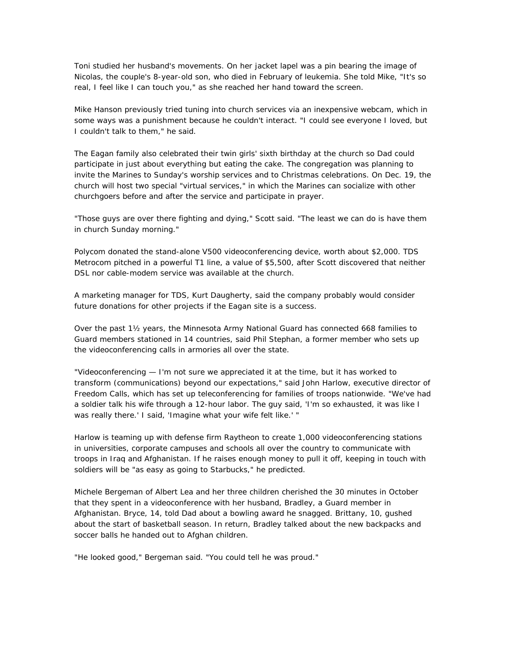Toni studied her husband's movements. On her jacket lapel was a pin bearing the image of Nicolas, the couple's 8-year-old son, who died in February of leukemia. She told Mike, "It's so real, I feel like I can touch you," as she reached her hand toward the screen.

Mike Hanson previously tried tuning into church services via an inexpensive webcam, which in some ways was a punishment because he couldn't interact. "I could see everyone I loved, but I couldn't talk to them," he said.

The Eagan family also celebrated their twin girls' sixth birthday at the church so Dad could participate in just about everything but eating the cake. The congregation was planning to invite the Marines to Sunday's worship services and to Christmas celebrations. On Dec. 19, the church will host two special "virtual services," in which the Marines can socialize with other churchgoers before and after the service and participate in prayer.

"Those guys are over there fighting and dying," Scott said. "The least we can do is have them in church Sunday morning."

Polycom donated the stand-alone V500 videoconferencing device, worth about \$2,000. TDS Metrocom pitched in a powerful T1 line, a value of \$5,500, after Scott discovered that neither DSL nor cable-modem service was available at the church.

A marketing manager for TDS, Kurt Daugherty, said the company probably would consider future donations for other projects if the Eagan site is a success.

Over the past 1½ years, the Minnesota Army National Guard has connected 668 families to Guard members stationed in 14 countries, said Phil Stephan, a former member who sets up the videoconferencing calls in armories all over the state.

"Videoconferencing — I'm not sure we appreciated it at the time, but it has worked to transform (communications) beyond our expectations," said John Harlow, executive director of Freedom Calls, which has set up teleconferencing for families of troops nationwide. "We've had a soldier talk his wife through a 12-hour labor. The guy said, 'I'm so exhausted, it was like I was really there.' I said, 'Imagine what your wife felt like.' "

Harlow is teaming up with defense firm Raytheon to create 1,000 videoconferencing stations in universities, corporate campuses and schools all over the country to communicate with troops in Iraq and Afghanistan. If he raises enough money to pull it off, keeping in touch with soldiers will be "as easy as going to Starbucks," he predicted.

Michele Bergeman of Albert Lea and her three children cherished the 30 minutes in October that they spent in a videoconference with her husband, Bradley, a Guard member in Afghanistan. Bryce, 14, told Dad about a bowling award he snagged. Brittany, 10, gushed about the start of basketball season. In return, Bradley talked about the new backpacks and soccer balls he handed out to Afghan children.

"He looked good," Bergeman said. "You could tell he was proud."